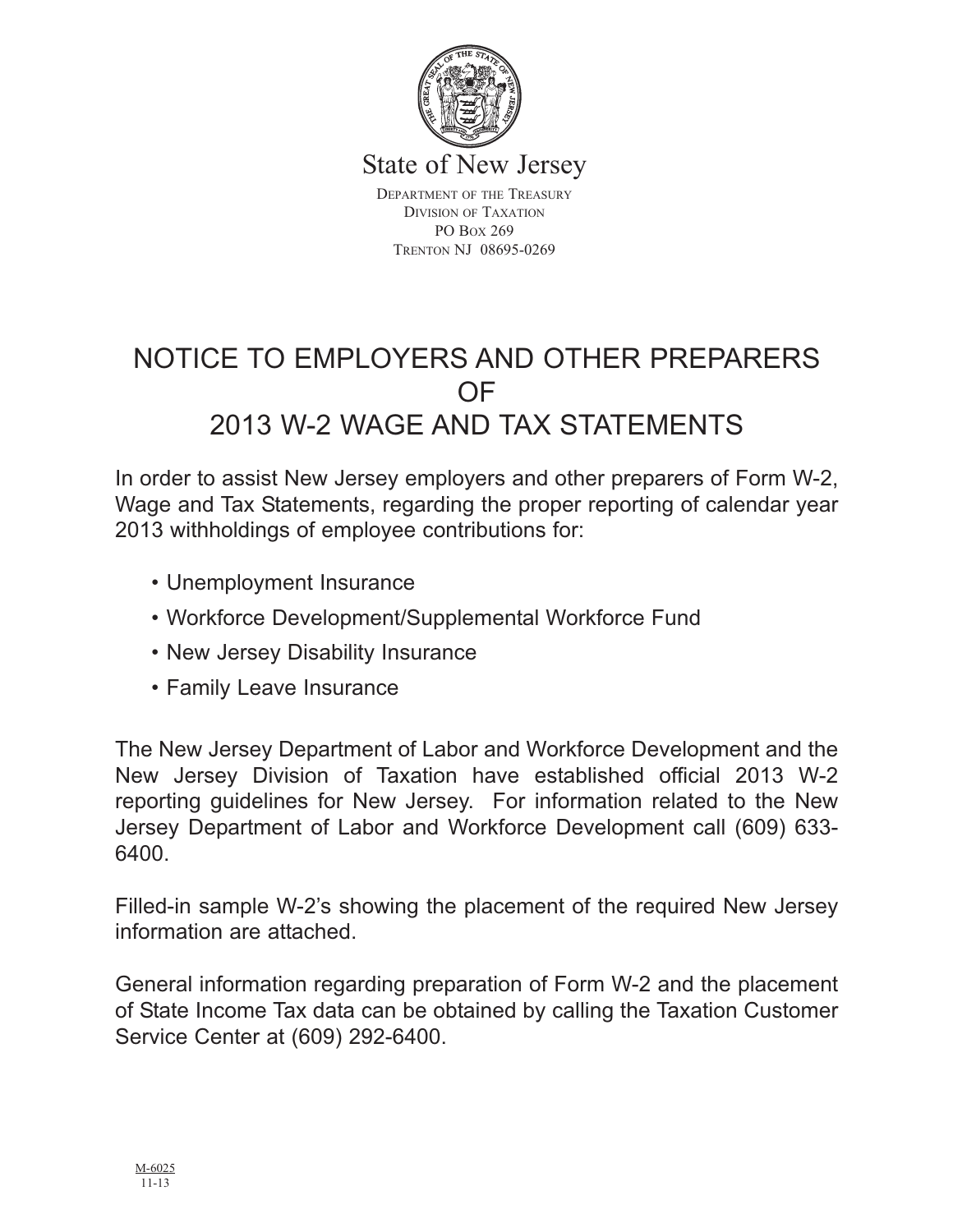

State of New Jersey

DEPARTMENT OF THE TREASURY DIVISION OF TAXATION PO BOX 269 TRENTON NJ 08695-0269

# NOTICE TO EMPLOYERS AND OTHER PREPARERS OF 2013 W-2 WAGE AND TAX STATEMENTS

In order to assist New Jersey employers and other preparers of Form W-2, Wage and Tax Statements, regarding the proper reporting of calendar year 2013 withholdings of employee contributions for:

- Unemployment Insurance
- Workforce Development/Supplemental Workforce Fund
- New Jersey Disability Insurance
- Family Leave Insurance

The New Jersey Department of Labor and Workforce Development and the New Jersey Division of Taxation have established official 2013 W-2 reporting guidelines for New Jersey. For information related to the New Jersey Department of Labor and Workforce Development call (609) 633- 6400.

Filled-in sample W-2's showing the placement of the required New Jersey information are attached.

General information regarding preparation of Form W-2 and the placement of State Income Tax data can be obtained by calling the Taxation Customer Service Center at (609) 292-6400.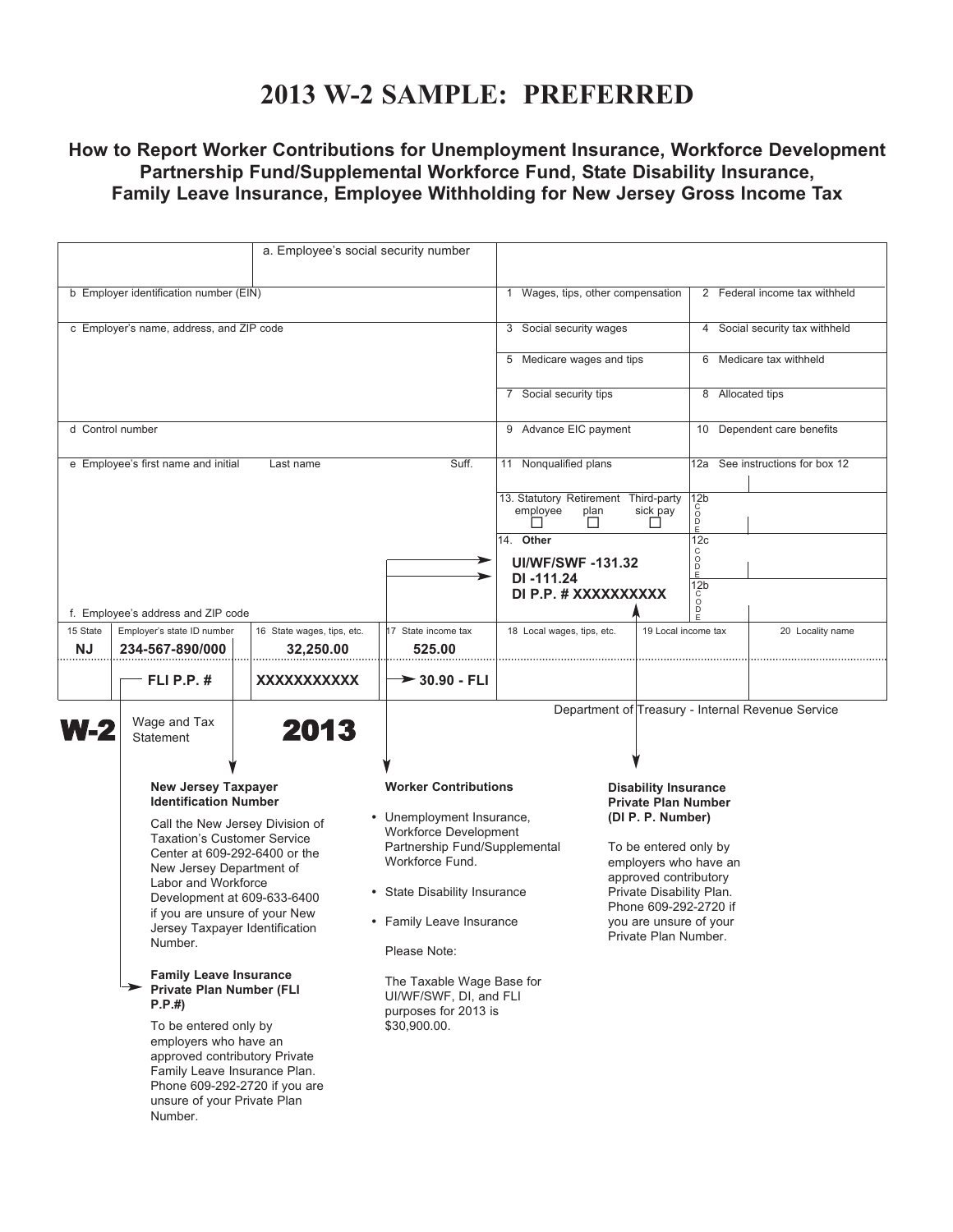### **2013 W-2 SAMPLE: PREFERRED**

### **How to Report Worker Contributions for Unemployment Insurance, Workforce Development Partnership Fund/Supplemental Workforce Fund, State Disability Insurance, Family Leave Insurance, Employee Withholding for New Jersey Gross Income Tax**

|                                                                                                                                                                                                                                                                  | a. Employee's social security number                                                                                                                                                                                                                                                                                                 |                                                                                             |                                                                                                                           |                                                                                                         |                         |                                                                                                                                                       |                                                   |  |  |
|------------------------------------------------------------------------------------------------------------------------------------------------------------------------------------------------------------------------------------------------------------------|--------------------------------------------------------------------------------------------------------------------------------------------------------------------------------------------------------------------------------------------------------------------------------------------------------------------------------------|---------------------------------------------------------------------------------------------|---------------------------------------------------------------------------------------------------------------------------|---------------------------------------------------------------------------------------------------------|-------------------------|-------------------------------------------------------------------------------------------------------------------------------------------------------|---------------------------------------------------|--|--|
|                                                                                                                                                                                                                                                                  |                                                                                                                                                                                                                                                                                                                                      |                                                                                             |                                                                                                                           |                                                                                                         |                         |                                                                                                                                                       |                                                   |  |  |
| b Employer identification number (EIN)                                                                                                                                                                                                                           |                                                                                                                                                                                                                                                                                                                                      |                                                                                             |                                                                                                                           | 1 Wages, tips, other compensation                                                                       |                         |                                                                                                                                                       | 2 Federal income tax withheld                     |  |  |
| c Employer's name, address, and ZIP code                                                                                                                                                                                                                         |                                                                                                                                                                                                                                                                                                                                      |                                                                                             |                                                                                                                           |                                                                                                         | 3 Social security wages |                                                                                                                                                       | 4 Social security tax withheld                    |  |  |
|                                                                                                                                                                                                                                                                  |                                                                                                                                                                                                                                                                                                                                      |                                                                                             |                                                                                                                           | 5 Medicare wages and tips                                                                               |                         |                                                                                                                                                       | 6 Medicare tax withheld                           |  |  |
|                                                                                                                                                                                                                                                                  |                                                                                                                                                                                                                                                                                                                                      |                                                                                             |                                                                                                                           | 7 Social security tips                                                                                  |                         |                                                                                                                                                       | 8 Allocated tips                                  |  |  |
|                                                                                                                                                                                                                                                                  | d Control number                                                                                                                                                                                                                                                                                                                     |                                                                                             |                                                                                                                           |                                                                                                         | 9 Advance EIC payment   |                                                                                                                                                       | 10 Dependent care benefits                        |  |  |
| Suff.<br>e Employee's first name and initial<br>Last name                                                                                                                                                                                                        |                                                                                                                                                                                                                                                                                                                                      |                                                                                             | 11 Nonqualified plans                                                                                                     |                                                                                                         | 12a                     | See instructions for box 12                                                                                                                           |                                                   |  |  |
|                                                                                                                                                                                                                                                                  |                                                                                                                                                                                                                                                                                                                                      |                                                                                             |                                                                                                                           | 13. Statutory Retirement Third-party<br>employee<br>plan<br>$\perp$                                     | sick pay                | 12b<br>ŏ<br>$_{E}^{D}$                                                                                                                                |                                                   |  |  |
|                                                                                                                                                                                                                                                                  |                                                                                                                                                                                                                                                                                                                                      |                                                                                             |                                                                                                                           | 14. Other                                                                                               |                         | 12c<br>C                                                                                                                                              |                                                   |  |  |
| ⋗                                                                                                                                                                                                                                                                |                                                                                                                                                                                                                                                                                                                                      |                                                                                             |                                                                                                                           | <b>UI/WF/SWF-131.32</b>                                                                                 |                         | O<br>D<br>E                                                                                                                                           |                                                   |  |  |
|                                                                                                                                                                                                                                                                  |                                                                                                                                                                                                                                                                                                                                      |                                                                                             |                                                                                                                           | DI-111.24<br>DI P.P. # XXXXXXXXXX                                                                       |                         | 12 <sub>b</sub>                                                                                                                                       |                                                   |  |  |
|                                                                                                                                                                                                                                                                  | f. Employee's address and ZIP code                                                                                                                                                                                                                                                                                                   |                                                                                             |                                                                                                                           |                                                                                                         |                         | $\overline{0}$                                                                                                                                        |                                                   |  |  |
| 15 State<br><b>NJ</b>                                                                                                                                                                                                                                            | Employer's state ID number<br>234-567-890/000                                                                                                                                                                                                                                                                                        | 16 State wages, tips, etc.<br>32,250.00                                                     | 17 State income tax<br>525.00                                                                                             | 18 Local wages, tips, etc.                                                                              |                         | 19 Local income tax                                                                                                                                   | 20 Locality name                                  |  |  |
|                                                                                                                                                                                                                                                                  | FLI P.P. $#$                                                                                                                                                                                                                                                                                                                         | XXXXXXXXXXX                                                                                 | $\rightarrow$ 30.90 - FLI                                                                                                 |                                                                                                         |                         |                                                                                                                                                       |                                                   |  |  |
| <b>N-2</b>                                                                                                                                                                                                                                                       | Wage and Tax<br><b>Statement</b>                                                                                                                                                                                                                                                                                                     | 2013                                                                                        |                                                                                                                           |                                                                                                         |                         |                                                                                                                                                       | Department of Treasury - Internal Revenue Service |  |  |
|                                                                                                                                                                                                                                                                  | <b>New Jersey Taxpayer</b><br><b>Identification Number</b><br>Call the New Jersey Division of<br><b>Taxation's Customer Service</b><br>Center at 609-292-6400 or the<br>New Jersey Department of<br>Labor and Workforce<br>Development at 609-633-6400<br>if you are unsure of your New<br>Jersey Taxpayer Identification<br>Number. |                                                                                             | <b>Worker Contributions</b><br>• Unemployment Insurance,<br><b>Workforce Development</b><br>Partnership Fund/Supplemental | <b>Disability Insurance</b><br><b>Private Plan Number</b><br>(DI P. P. Number)<br>To be entered only by |                         |                                                                                                                                                       |                                                   |  |  |
|                                                                                                                                                                                                                                                                  |                                                                                                                                                                                                                                                                                                                                      |                                                                                             | Workforce Fund.<br>• State Disability Insurance<br>• Family Leave Insurance<br>Please Note:                               |                                                                                                         |                         | employers who have an<br>approved contributory<br>Private Disability Plan.<br>Phone 609-292-2720 if<br>you are unsure of your<br>Private Plan Number. |                                                   |  |  |
| <b>Family Leave Insurance</b><br>Private Plan Number (FLI<br>P.P.#<br>To be entered only by<br>employers who have an<br>approved contributory Private<br>Family Leave Insurance Plan.<br>Phone 609-292-2720 if you are<br>unsure of your Private Plan<br>Number. |                                                                                                                                                                                                                                                                                                                                      | The Taxable Wage Base for<br>UI/WF/SWF, DI, and FLI<br>purposes for 2013 is<br>\$30,900.00. |                                                                                                                           |                                                                                                         |                         |                                                                                                                                                       |                                                   |  |  |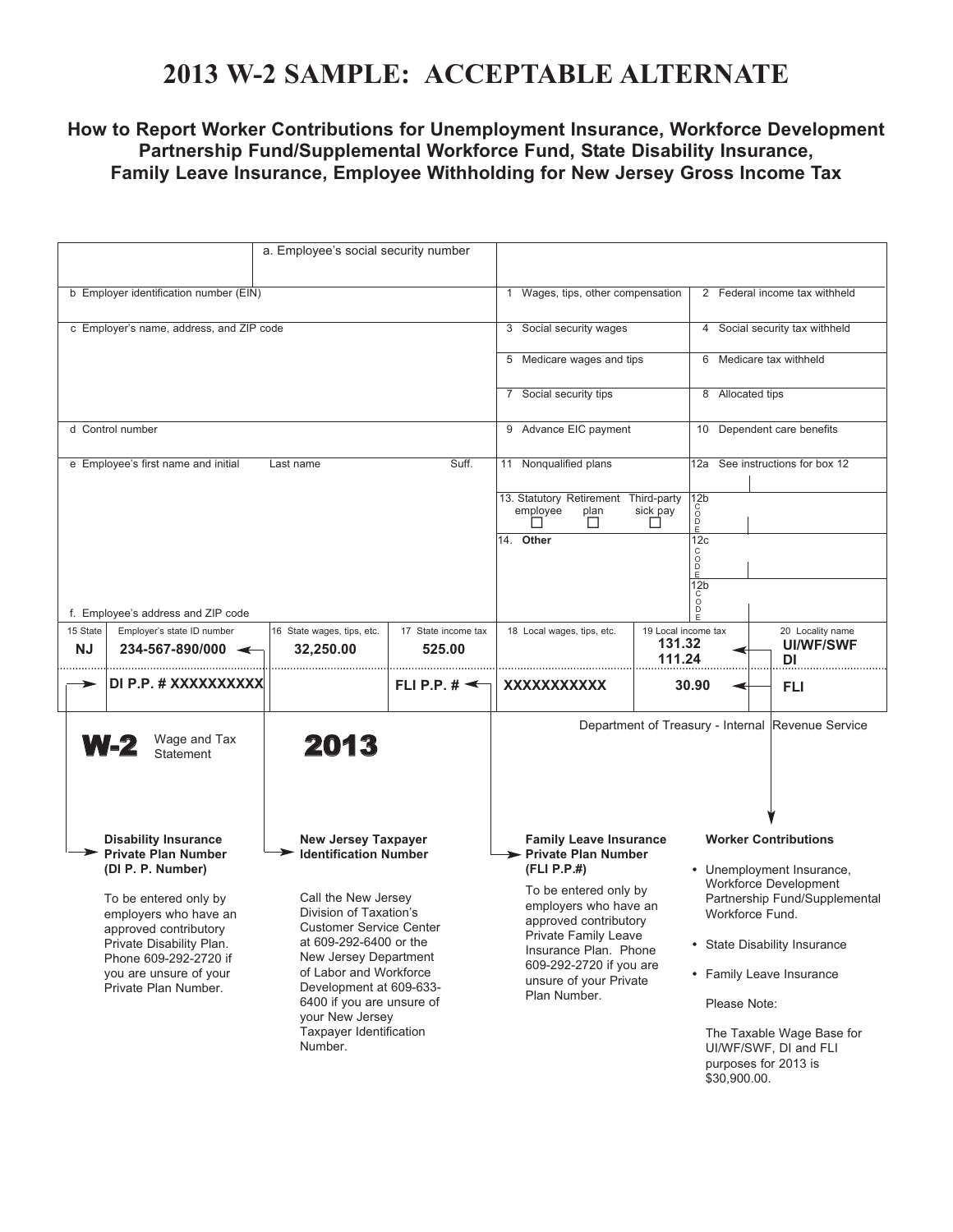## **2013 W-2 SAMPLE: ACCEPTABLE ALTERNATE**

#### **How to Report Worker Contributions for Unemployment Insurance, Workforce Development Partnership Fund/Supplemental Workforce Fund, State Disability Insurance, Family Leave Insurance, Employee Withholding for New Jersey Gross Income Tax**

| a. Employee's social security number                                                                                                                                                                                                                                                                                                                                                                                                         |                                                                  |                                                                                                               |                                                                                                                                                                    |                                                               |                                                                                                        |                                                                                            |                                                   |  |
|----------------------------------------------------------------------------------------------------------------------------------------------------------------------------------------------------------------------------------------------------------------------------------------------------------------------------------------------------------------------------------------------------------------------------------------------|------------------------------------------------------------------|---------------------------------------------------------------------------------------------------------------|--------------------------------------------------------------------------------------------------------------------------------------------------------------------|---------------------------------------------------------------|--------------------------------------------------------------------------------------------------------|--------------------------------------------------------------------------------------------|---------------------------------------------------|--|
| b Employer identification number (EIN)                                                                                                                                                                                                                                                                                                                                                                                                       |                                                                  |                                                                                                               |                                                                                                                                                                    | 1 Wages, tips, other compensation                             |                                                                                                        | 2 Federal income tax withheld                                                              |                                                   |  |
|                                                                                                                                                                                                                                                                                                                                                                                                                                              | c Employer's name, address, and ZIP code                         |                                                                                                               |                                                                                                                                                                    | 3 Social security wages                                       |                                                                                                        | 4 Social security tax withheld                                                             |                                                   |  |
|                                                                                                                                                                                                                                                                                                                                                                                                                                              |                                                                  |                                                                                                               |                                                                                                                                                                    | 5 Medicare wages and tips                                     |                                                                                                        | 6 Medicare tax withheld                                                                    |                                                   |  |
|                                                                                                                                                                                                                                                                                                                                                                                                                                              |                                                                  |                                                                                                               |                                                                                                                                                                    | 7 Social security tips                                        |                                                                                                        | 8 Allocated tips                                                                           |                                                   |  |
|                                                                                                                                                                                                                                                                                                                                                                                                                                              | d Control number                                                 |                                                                                                               |                                                                                                                                                                    | 9 Advance EIC payment                                         |                                                                                                        |                                                                                            | 10 Dependent care benefits                        |  |
|                                                                                                                                                                                                                                                                                                                                                                                                                                              | e Employee's first name and initial                              | Last name                                                                                                     | Suff.                                                                                                                                                              | 11 Nonqualified plans<br>13. Statutory Retirement Third-party | 12 <sub>b</sub>                                                                                        |                                                                                            | 12a See instructions for box 12                   |  |
|                                                                                                                                                                                                                                                                                                                                                                                                                                              |                                                                  |                                                                                                               |                                                                                                                                                                    | employee<br>plan<br>$\mathsf{L}$                              | င်<br>ဝ<br>sick pay<br>$\check{P}$<br>ΙI                                                               |                                                                                            |                                                   |  |
|                                                                                                                                                                                                                                                                                                                                                                                                                                              |                                                                  |                                                                                                               |                                                                                                                                                                    | 14. Other                                                     | 12c<br>C<br>D<br>D<br>E                                                                                |                                                                                            |                                                   |  |
|                                                                                                                                                                                                                                                                                                                                                                                                                                              |                                                                  |                                                                                                               |                                                                                                                                                                    |                                                               | 12 <sub>b</sub><br>$\circ$                                                                             |                                                                                            |                                                   |  |
|                                                                                                                                                                                                                                                                                                                                                                                                                                              | f. Employee's address and ZIP code                               |                                                                                                               |                                                                                                                                                                    |                                                               |                                                                                                        |                                                                                            |                                                   |  |
| 15 State<br><b>NJ</b>                                                                                                                                                                                                                                                                                                                                                                                                                        | Employer's state ID number<br>$234 - 567 - 890/000$ $\leftarrow$ | 16 State wages, tips, etc.<br>32,250.00                                                                       | 17 State income tax<br>525.00                                                                                                                                      | 18 Local wages, tips, etc.                                    | 19 Local income tax<br>131.32<br>111.24                                                                |                                                                                            | 20 Locality name<br><b>UI/WF/SWF</b><br>DI        |  |
|                                                                                                                                                                                                                                                                                                                                                                                                                                              | DI P.P. # XXXXXXXXXX                                             |                                                                                                               | FLI P.P. $\sharp \preceq$                                                                                                                                          | XXXXXXXXXXX                                                   | 30.90                                                                                                  |                                                                                            | FLI                                               |  |
|                                                                                                                                                                                                                                                                                                                                                                                                                                              | Wage and Tax<br><b>W-2</b><br><b>Statement</b>                   | 2013                                                                                                          |                                                                                                                                                                    |                                                               |                                                                                                        |                                                                                            | Department of Treasury - Internal Revenue Service |  |
| <b>Disability Insurance</b><br><b>New Jersey Taxpayer</b><br><b>Private Plan Number</b><br><b>Identification Number</b><br>(DI P. P. Number)<br>Call the New Jersey<br>To be entered only by<br>Division of Taxation's<br>employers who have an<br><b>Customer Service Center</b><br>approved contributory<br>at 609-292-6400 or the<br>Private Disability Plan.<br>New Jersey Department<br>Phone 609-292-2720 if<br>of Labor and Workforce |                                                                  |                                                                                                               | <b>Family Leave Insurance</b><br>> Private Plan Number                                                                                                             |                                                               | <b>Worker Contributions</b>                                                                            |                                                                                            |                                                   |  |
|                                                                                                                                                                                                                                                                                                                                                                                                                                              |                                                                  |                                                                                                               | (FLI P.P.#)<br>To be entered only by<br>employers who have an<br>approved contributory<br>Private Family Leave<br>Insurance Plan. Phone<br>609-292-2720 if you are |                                                               | • Unemployment Insurance,<br>Workforce Development<br>Partnership Fund/Supplemental<br>Workforce Fund. |                                                                                            |                                                   |  |
|                                                                                                                                                                                                                                                                                                                                                                                                                                              |                                                                  |                                                                                                               |                                                                                                                                                                    |                                                               | • State Disability Insurance                                                                           |                                                                                            |                                                   |  |
| you are unsure of your<br>Private Plan Number.                                                                                                                                                                                                                                                                                                                                                                                               |                                                                  | Development at 609-633-<br>6400 if you are unsure of<br>your New Jersey<br>Taxpayer Identification<br>Number. |                                                                                                                                                                    | unsure of your Private<br>Plan Number.                        |                                                                                                        | • Family Leave Insurance<br>Please Note:                                                   |                                                   |  |
|                                                                                                                                                                                                                                                                                                                                                                                                                                              |                                                                  |                                                                                                               |                                                                                                                                                                    |                                                               |                                                                                                        | The Taxable Wage Base for<br>UI/WF/SWF, DI and FLI<br>purposes for 2013 is<br>\$30,900.00. |                                                   |  |